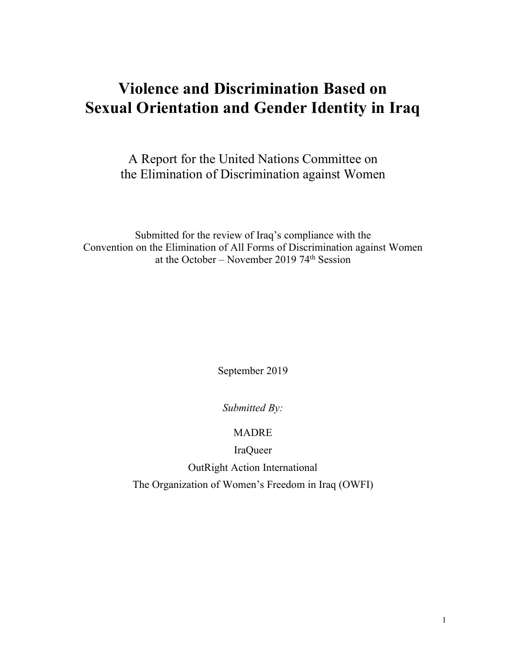# **Violence and Discrimination Based on Sexual Orientation and Gender Identity in Iraq**

A Report for the United Nations Committee on the Elimination of Discrimination against Women

Submitted for the review of Iraq's compliance with the Convention on the Elimination of All Forms of Discrimination against Women at the October – November 2019 74<sup>th</sup> Session

September 2019

*Submitted By:*

MADRE

IraQueer OutRight Action International

The Organization of Women's Freedom in Iraq (OWFI)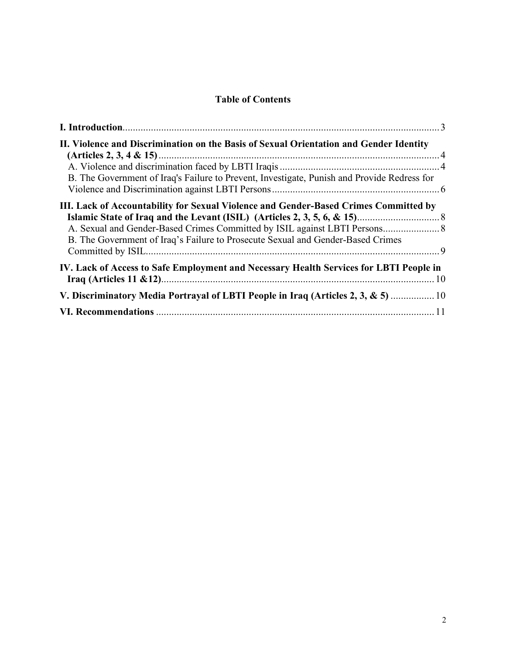# **Table of Contents**

| II. Violence and Discrimination on the Basis of Sexual Orientation and Gender Identity                                                                                  |  |
|-------------------------------------------------------------------------------------------------------------------------------------------------------------------------|--|
| B. The Government of Iraq's Failure to Prevent, Investigate, Punish and Provide Redress for                                                                             |  |
|                                                                                                                                                                         |  |
| III. Lack of Accountability for Sexual Violence and Gender-Based Crimes Committed by<br>B. The Government of Iraq's Failure to Prosecute Sexual and Gender-Based Crimes |  |
| IV. Lack of Access to Safe Employment and Necessary Health Services for LBTI People in                                                                                  |  |
| V. Discriminatory Media Portrayal of LBTI People in Iraq (Articles 2, 3, & 5)  10                                                                                       |  |
|                                                                                                                                                                         |  |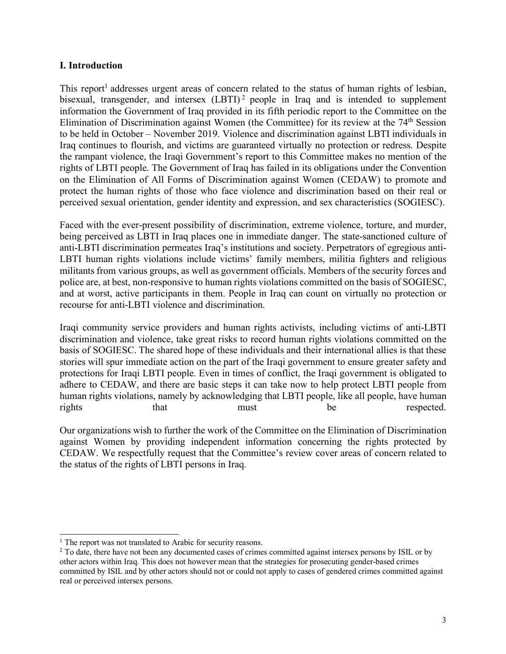#### **I. Introduction**

This report<sup>1</sup> addresses urgent areas of concern related to the status of human rights of lesbian, bisexual, transgender, and intersex (LBTI)<sup>2</sup> people in Iraq and is intended to supplement information the Government of Iraq provided in its fifth periodic report to the Committee on the Elimination of Discrimination against Women (the Committee) for its review at the 74<sup>th</sup> Session to be held in October – November 2019. Violence and discrimination against LBTI individuals in Iraq continues to flourish, and victims are guaranteed virtually no protection or redress. Despite the rampant violence, the Iraqi Government's report to this Committee makes no mention of the rights of LBTI people. The Government of Iraq has failed in its obligations under the Convention on the Elimination of All Forms of Discrimination against Women (CEDAW) to promote and protect the human rights of those who face violence and discrimination based on their real or perceived sexual orientation, gender identity and expression, and sex characteristics (SOGIESC).

Faced with the ever-present possibility of discrimination, extreme violence, torture, and murder, being perceived as LBTI in Iraq places one in immediate danger. The state-sanctioned culture of anti-LBTI discrimination permeates Iraq's institutions and society. Perpetrators of egregious anti-LBTI human rights violations include victims' family members, militia fighters and religious militants from various groups, as well as government officials. Members of the security forces and police are, at best, non-responsive to human rights violations committed on the basis of SOGIESC, and at worst, active participants in them. People in Iraq can count on virtually no protection or recourse for anti-LBTI violence and discrimination.

Iraqi community service providers and human rights activists, including victims of anti-LBTI discrimination and violence, take great risks to record human rights violations committed on the basis of SOGIESC. The shared hope of these individuals and their international allies is that these stories will spur immediate action on the part of the Iraqi government to ensure greater safety and protections for Iraqi LBTI people. Even in times of conflict, the Iraqi government is obligated to adhere to CEDAW, and there are basic steps it can take now to help protect LBTI people from human rights violations, namely by acknowledging that LBTI people, like all people, have human rights that must be respected.

Our organizations wish to further the work of the Committee on the Elimination of Discrimination against Women by providing independent information concerning the rights protected by CEDAW. We respectfully request that the Committee's review cover areas of concern related to the status of the rights of LBTI persons in Iraq.

<sup>&</sup>lt;sup>1</sup> The report was not translated to Arabic for security reasons.

<sup>&</sup>lt;sup>2</sup> To date, there have not been any documented cases of crimes committed against intersex persons by ISIL or by other actors within Iraq. This does not however mean that the strategies for prosecuting gender-based crimes committed by ISIL and by other actors should not or could not apply to cases of gendered crimes committed against real or perceived intersex persons.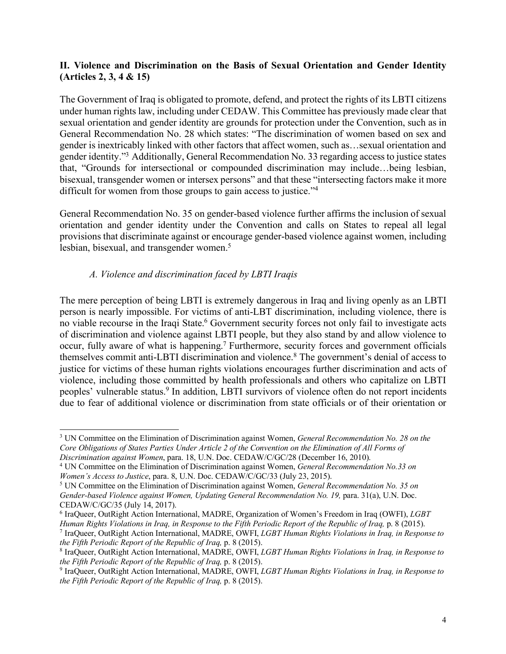### **II. Violence and Discrimination on the Basis of Sexual Orientation and Gender Identity (Articles 2, 3, 4 & 15)**

The Government of Iraq is obligated to promote, defend, and protect the rights of its LBTI citizens under human rights law, including under CEDAW. This Committee has previously made clear that sexual orientation and gender identity are grounds for protection under the Convention, such as in General Recommendation No. 28 which states: "The discrimination of women based on sex and gender is inextricably linked with other factors that affect women, such as…sexual orientation and gender identity."3 Additionally, General Recommendation No. 33 regarding accessto justice states that, "Grounds for intersectional or compounded discrimination may include…being lesbian, bisexual, transgender women or intersex persons" and that these "intersecting factors make it more difficult for women from those groups to gain access to justice."<sup>4</sup>

General Recommendation No. 35 on gender-based violence further affirms the inclusion of sexual orientation and gender identity under the Convention and calls on States to repeal all legal provisions that discriminate against or encourage gender-based violence against women, including lesbian, bisexual, and transgender women.<sup>5</sup>

# *A. Violence and discrimination faced by LBTI Iraqis*

The mere perception of being LBTI is extremely dangerous in Iraq and living openly as an LBTI person is nearly impossible. For victims of anti-LBT discrimination, including violence, there is no viable recourse in the Iraqi State.<sup>6</sup> Government security forces not only fail to investigate acts of discrimination and violence against LBTI people, but they also stand by and allow violence to occur, fully aware of what is happening.7 Furthermore, security forces and government officials themselves commit anti-LBTI discrimination and violence.8 The government's denial of access to justice for victims of these human rights violations encourages further discrimination and acts of violence, including those committed by health professionals and others who capitalize on LBTI peoples' vulnerable status.<sup>9</sup> In addition, LBTI survivors of violence often do not report incidents due to fear of additional violence or discrimination from state officials or of their orientation or

 <sup>3</sup> UN Committee on the Elimination of Discrimination against Women, *General Recommendation No. <sup>28</sup> on the* Core Obligations of States Parties Under Article 2 of the Convention on the Elimination of All Forms of *Discrimination against Women*, para. 18, U.N. Doc. CEDAW/C/GC/28 (December 16, 2010).

<sup>4</sup> UN Committee on the Elimination of Discrimination against Women, *General Recommendation No.33 on Women's Access to Justice*, para. 8, U.N. Doc. CEDAW/C/GC/33 (July 23, 2015).

<sup>5</sup> UN Committee on the Elimination of Discrimination against Women, *General Recommendation No. 35 on Gender-based Violence against Women, Updating General Recommendation No. 19,* para. 31(a), U.N. Doc. CEDAW/C/GC/35 (July 14, 2017).

<sup>6</sup> IraQueer, OutRight Action International, MADRE, Organization of Women's Freedom in Iraq (OWFI), *LGBT* Human Rights Violations in Iraq, in Response to the Fifth Periodic Report of the Republic of Iraq, p. 8 (2015).

<sup>7</sup> IraQueer, OutRight Action International, MADRE, OWFI, *LGBT Human Rights Violations in Iraq, in Response to the Fifth Periodic Report of the Republic of Iraq,* p. 8 (2015).

<sup>8</sup> IraQueer, OutRight Action International, MADRE, OWFI, *LGBT Human Rights Violations in Iraq, in Response to the Fifth Periodic Report of the Republic of Iraq,* p. 8 (2015).

<sup>9</sup> IraQueer, OutRight Action International, MADRE, OWFI, *LGBT Human Rights Violations in Iraq, in Response to the Fifth Periodic Report of the Republic of Iraq,* p. 8 (2015).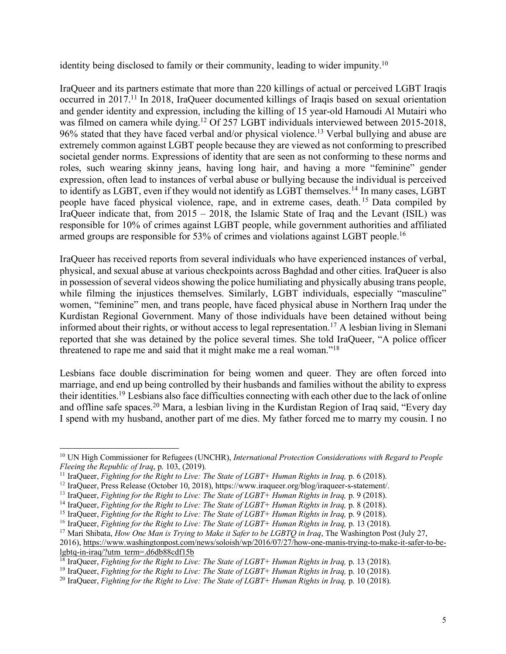identity being disclosed to family or their community, leading to wider impunity.10

IraQueer and its partners estimate that more than 220 killings of actual or perceived LGBT Iraqis occurred in 2017. <sup>11</sup> In 2018, IraQueer documented killings of Iraqis based on sexual orientation and gender identity and expression, including the killing of 15 year-old Hamoudi Al Mutairi who was filmed on camera while dying.<sup>12</sup> Of 257 LGBT individuals interviewed between 2015-2018, 96% stated that they have faced verbal and/or physical violence.<sup>13</sup> Verbal bullying and abuse are extremely common against LGBT people because they are viewed as not conforming to prescribed societal gender norms. Expressions of identity that are seen as not conforming to these norms and roles, such wearing skinny jeans, having long hair, and having a more "feminine" gender expression, often lead to instances of verbal abuse or bullying because the individual is perceived to identify as LGBT, even if they would not identify as LGBT themselves.<sup>14</sup> In many cases, LGBT people have faced physical violence, rape, and in extreme cases, death. <sup>15</sup> Data compiled by IraQueer indicate that, from 2015 – 2018, the Islamic State of Iraq and the Levant (ISIL) was responsible for 10% of crimes against LGBT people, while government authorities and affiliated armed groups are responsible for 53% of crimes and violations against LGBT people.<sup>16</sup>

IraQueer has received reports from several individuals who have experienced instances of verbal, physical, and sexual abuse at various checkpoints across Baghdad and other cities. IraQueer is also in possession of several videos showing the police humiliating and physically abusing trans people, while filming the injustices themselves. Similarly, LGBT individuals, especially "masculine" women, "feminine" men, and trans people, have faced physical abuse in Northern Iraq under the Kurdistan Regional Government. Many of those individuals have been detained without being informed about their rights, or without access to legal representation.<sup>17</sup> A lesbian living in Slemani reported that she was detained by the police several times. She told IraQueer, "A police officer threatened to rape me and said that it might make me a real woman."18

Lesbians face double discrimination for being women and queer. They are often forced into marriage, and end up being controlled by their husbands and families without the ability to express their identities.19 Lesbians also face difficulties connecting with each other due to the lack of online and offline safe spaces.20 Mara, a lesbian living in the Kurdistan Region of Iraq said, "Every day I spend with my husband, another part of me dies. My father forced me to marry my cousin. I no

 <sup>10</sup> UN High Commissioner for Refugees (UNCHR), *International Protection Considerations with Regard to People Fleeing the Republic of Iraq*, p. 103, (2019).

<sup>11</sup> IraQueer, *Fighting for the Right to Live: The State of LGBT+ Human Rights in Iraq,* p. 6 (2018).

<sup>12</sup> IraQueer, Press Release (October 10, 2018), https://www.iraqueer.org/blog/iraqueer-s-statement/.

<sup>13</sup> IraQueer, *Fighting for the Right to Live: The State of LGBT+ Human Rights in Iraq,* p. 9 (2018).

<sup>14</sup> IraQueer, *Fighting for the Right to Live: The State of LGBT+ Human Rights in Iraq,* p. 8 (2018).

<sup>15</sup> IraQueer, *Fighting for the Right to Live: The State of LGBT+ Human Rights in Iraq,* p. 9 (2018).

<sup>16</sup> IraQueer, *Fighting for the Right to Live: The State of LGBT+ Human Rights in Iraq,* p. 13 (2018).

<sup>17</sup> Mari Shibata, *How One Man is Trying to Make it Safer to be LGBTQ in Iraq*, The Washington Post (July 27, 2016), https://www.washingtonpost.com/news/soloish/wp/2016/07/27/how-one-manis-trying-to-make-it-safer-to-belgbtq-in-iraq/?utm\_term=.d6db88cdf15b

<sup>18</sup> IraQueer, *Fighting for the Right to Live: The State of LGBT+ Human Rights in Iraq,* p. 13 (2018).

<sup>19</sup> IraQueer, *Fighting for the Right to Live: The State of LGBT+ Human Rights in Iraq,* p. 10 (2018).

<sup>20</sup> IraQueer, *Fighting for the Right to Live: The State of LGBT+ Human Rights in Iraq,* p. 10 (2018).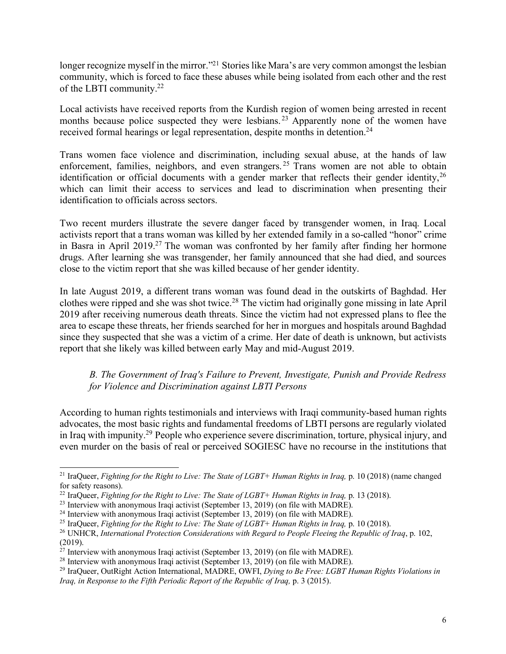longer recognize myself in the mirror."<sup>21</sup> Stories like Mara's are very common amongst the lesbian community, which is forced to face these abuses while being isolated from each other and the rest of the LBTI community.22

Local activists have received reports from the Kurdish region of women being arrested in recent months because police suspected they were lesbians.<sup>23</sup> Apparently none of the women have received formal hearings or legal representation, despite months in detention.<sup>24</sup>

Trans women face violence and discrimination, including sexual abuse, at the hands of law enforcement, families, neighbors, and even strangers.<sup>25</sup> Trans women are not able to obtain identification or official documents with a gender marker that reflects their gender identity, 26 which can limit their access to services and lead to discrimination when presenting their identification to officials across sectors.

Two recent murders illustrate the severe danger faced by transgender women, in Iraq. Local activists report that a trans woman was killed by her extended family in a so-called "honor" crime in Basra in April 2019.27 The woman was confronted by her family after finding her hormone drugs. After learning she was transgender, her family announced that she had died, and sources close to the victim report that she was killed because of her gender identity.

In late August 2019, a different trans woman was found dead in the outskirts of Baghdad. Her clothes were ripped and she was shot twice.28 The victim had originally gone missing in late April 2019 after receiving numerous death threats. Since the victim had not expressed plans to flee the area to escape these threats, her friends searched for her in morgues and hospitals around Baghdad since they suspected that she was a victim of a crime. Her date of death is unknown, but activists report that she likely was killed between early May and mid-August 2019.

*B. The Government of Iraq's Failure to Prevent, Investigate, Punish and Provide Redress for Violence and Discrimination against LBTI Persons*

According to human rights testimonials and interviews with Iraqi community-based human rights advocates, the most basic rights and fundamental freedoms of LBTI persons are regularly violated in Iraq with impunity.29 People who experience severe discrimination, torture, physical injury, and even murder on the basis of real or perceived SOGIESC have no recourse in the institutions that

 <sup>21</sup> IraQueer, *Fighting for the Right to Live: The State of LGBT+ Human Rights in Iraq,* p. <sup>10</sup> (2018) (name changed for safety reasons).

<sup>22</sup> IraQueer, *Fighting for the Right to Live: The State of LGBT+ Human Rights in Iraq,* p. 13 (2018).

<sup>&</sup>lt;sup>23</sup> Interview with anonymous Iraqi activist (September 13, 2019) (on file with MADRE).

<sup>&</sup>lt;sup>24</sup> Interview with anonymous Iraqi activist (September 13, 2019) (on file with MADRE).

<sup>25</sup> IraQueer, *Fighting for the Right to Live: The State of LGBT+ Human Rights in Iraq,* p. 10 (2018).

<sup>26</sup> UNHCR, *International Protection Considerations with Regard to People Fleeing the Republic of Iraq*, p. 102, (2019).

<sup>&</sup>lt;sup>27</sup> Interview with anonymous Iraqi activist (September 13, 2019) (on file with MADRE).

<sup>&</sup>lt;sup>28</sup> Interview with anonymous Iraqi activist (September 13, 2019) (on file with MADRE).

<sup>29</sup> IraQueer, OutRight Action International, MADRE, OWFI, *Dying to Be Free: LGBT Human Rights Violations in Iraq, in Response to the Fifth Periodic Report of the Republic of Iraq,* p. 3 (2015).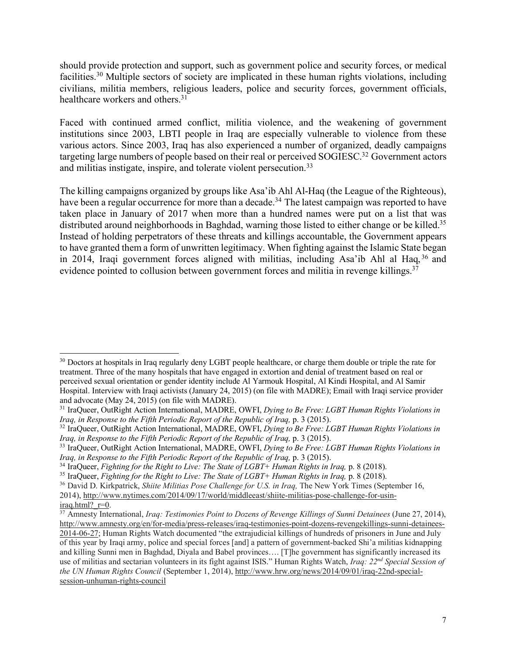should provide protection and support, such as government police and security forces, or medical facilities.30 Multiple sectors of society are implicated in these human rights violations, including civilians, militia members, religious leaders, police and security forces, government officials, healthcare workers and others.<sup>31</sup>

Faced with continued armed conflict, militia violence, and the weakening of government institutions since 2003, LBTI people in Iraq are especially vulnerable to violence from these various actors. Since 2003, Iraq has also experienced a number of organized, deadly campaigns targeting large numbers of people based on their real or perceived SOGIESC.<sup>32</sup> Government actors and militias instigate, inspire, and tolerate violent persecution.<sup>33</sup>

The killing campaigns organized by groups like Asa'ib Ahl Al-Haq (the League of the Righteous), have been a regular occurrence for more than a decade.<sup>34</sup> The latest campaign was reported to have taken place in January of 2017 when more than a hundred names were put on a list that was distributed around neighborhoods in Baghdad, warning those listed to either change or be killed.<sup>35</sup> Instead of holding perpetrators of these threats and killings accountable, the Government appears to have granted them a form of unwritten legitimacy. When fighting against the Islamic State began in 2014, Iraqi government forces aligned with militias, including Asa'ib Ahl al Haq, <sup>36</sup> and evidence pointed to collusion between government forces and militia in revenge killings.<sup>37</sup>

<sup>&</sup>lt;sup>30</sup> Doctors at hospitals in Iraq regularly deny LGBT people healthcare, or charge them double or triple the rate for treatment. Three of the many hospitals that have engaged in extortion and denial of treatment based on real or perceived sexual orientation or gender identity include Al Yarmouk Hospital, Al Kindi Hospital, and Al Samir Hospital. Interview with Iraqi activists (January 24, 2015) (on file with MADRE); Email with Iraqi service provider and advocate (May 24, 2015) (on file with MADRE).

<sup>31</sup> IraQueer, OutRight Action International, MADRE, OWFI, *Dying to Be Free: LGBT Human Rights Violations in Iraq, in Response to the Fifth Periodic Report of the Republic of Iraq,* p. 3 (2015).

<sup>32</sup> IraQueer, OutRight Action International, MADRE, OWFI, *Dying to Be Free: LGBT Human Rights Violations in Iraq, in Response to the Fifth Periodic Report of the Republic of Iraq,* p. 3 (2015).

<sup>33</sup> IraQueer, OutRight Action International, MADRE, OWFI, *Dying to Be Free: LGBT Human Rights Violations in Iraq, in Response to the Fifth Periodic Report of the Republic of Iraq,* p. 3 (2015).

<sup>34</sup> IraQueer, *Fighting for the Right to Live: The State of LGBT+ Human Rights in Iraq,* p. 8 (2018).

<sup>35</sup> IraQueer, *Fighting for the Right to Live: The State of LGBT+ Human Rights in Iraq,* p. 8 (2018).

<sup>36</sup> David D. Kirkpatrick, *Shiite Militias Pose Challenge for U.S. in Iraq,* The New York Times (September 16, 2014), http://www.nytimes.com/2014/09/17/world/middleeast/shiite-militias-pose-challenge-for-usiniraq.html? r=0.

<sup>37</sup> Amnesty International, *Iraq: Testimonies Point to Dozens of Revenge Killings of Sunni Detainees* (June 27, 2014), http://www.amnesty.org/en/for-media/press-releases/iraq-testimonies-point-dozens-revengekillings-sunni-detainees-2014-06-27; Human Rights Watch documented "the extrajudicial killings of hundreds of prisoners in June and July of this year by Iraqi army, police and special forces [and] a pattern of government-backed Shi'a militias kidnapping and killing Sunni men in Baghdad, Diyala and Babel provinces…. [T]he government has significantly increased its use of militias and sectarian volunteers in its fight against ISIS." Human Rights Watch, *Iraq: 22nd Special Session of the UN Human Rights Council* (September 1, 2014), http://www.hrw.org/news/2014/09/01/iraq-22nd-specialsession-unhuman-rights-council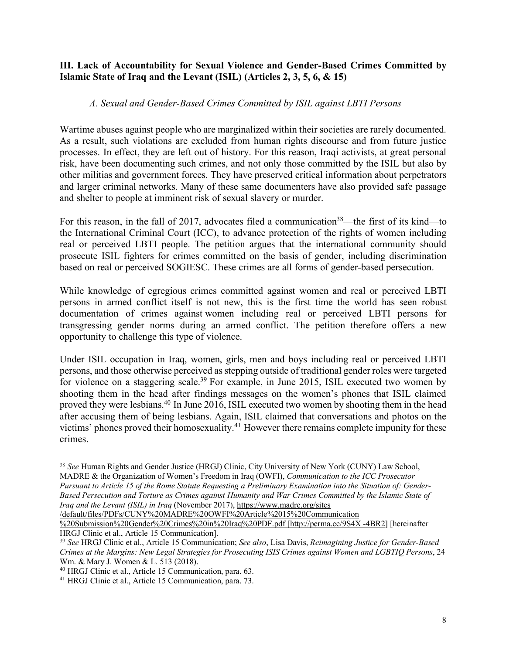#### **III. Lack of Accountability for Sexual Violence and Gender-Based Crimes Committed by Islamic State of Iraq and the Levant (ISIL) (Articles 2, 3, 5, 6, & 15)**

#### *A. Sexual and Gender-Based Crimes Committed by ISIL against LBTI Persons*

Wartime abuses against people who are marginalized within their societies are rarely documented. As a result, such violations are excluded from human rights discourse and from future justice processes. In effect, they are left out of history. For this reason, Iraqi activists, at great personal risk, have been documenting such crimes, and not only those committed by the ISIL but also by other militias and government forces. They have preserved critical information about perpetrators and larger criminal networks. Many of these same documenters have also provided safe passage and shelter to people at imminent risk of sexual slavery or murder.

For this reason, in the fall of 2017, advocates filed a communication<sup>38</sup>—the first of its kind—to the International Criminal Court (ICC), to advance protection of the rights of women including real or perceived LBTI people. The petition argues that the international community should prosecute ISIL fighters for crimes committed on the basis of gender, including discrimination based on real or perceived SOGIESC. These crimes are all forms of gender-based persecution.

While knowledge of egregious crimes committed against women and real or perceived LBTI persons in armed conflict itself is not new, this is the first time the world has seen robust documentation of crimes against women including real or perceived LBTI persons for transgressing gender norms during an armed conflict. The petition therefore offers a new opportunity to challenge this type of violence.

Under ISIL occupation in Iraq, women, girls, men and boys including real or perceived LBTI persons, and those otherwise perceived asstepping outside of traditional gender roles were targeted for violence on a staggering scale.<sup>39</sup> For example, in June 2015, ISIL executed two women by shooting them in the head after findings messages on the women's phones that ISIL claimed proved they were lesbians.40 In June 2016, ISIL executed two women by shooting them in the head after accusing them of being lesbians. Again, ISIL claimed that conversations and photos on the victims' phones proved their homosexuality.<sup>41</sup> However there remains complete impunity for these crimes.

Pursuant to Article 15 of the Rome Statute Requesting a Preliminary Examination into the Situation of: Gender-*Based Persecution and Torture as Crimes against Humanity and War Crimes Committed by the Islamic State of Iraq and the Levant (ISIL) in Iraq* (November 2017), https://www.madre.org/sites

/default/files/PDFs/CUNY%20MADRE%20OWFI%20Article%2015%20Communication %20Submission%20Gender%20Crimes%20in%20Iraq%20PDF.pdf [http://perma.cc/9S4X -4BR2] [hereinafter

HRGJ Clinic et al., Article 15 Communication].

<sup>&</sup>lt;sup>38</sup> See Human Rights and Gender Justice (HRGJ) Clinic, City University of New York (CUNY) Law School, MADRE & the Organization of Women's Freedom in Iraq (OWFI), *Communication to the ICC Prosecutor*

<sup>39</sup> *See* HRGJ Clinic et al., Article 15 Communication; *See also*, Lisa Davis, *Reimagining Justice for Gender-Based Crimes at the Margins: New Legal Strategies for Prosecuting ISIS Crimes against Women and LGBTIQ Persons*, 24 Wm. & Mary J. Women & L. 513 (2018).

<sup>40</sup> HRGJ Clinic et al., Article 15 Communication, para. 63.

<sup>41</sup> HRGJ Clinic et al., Article 15 Communication, para. 73.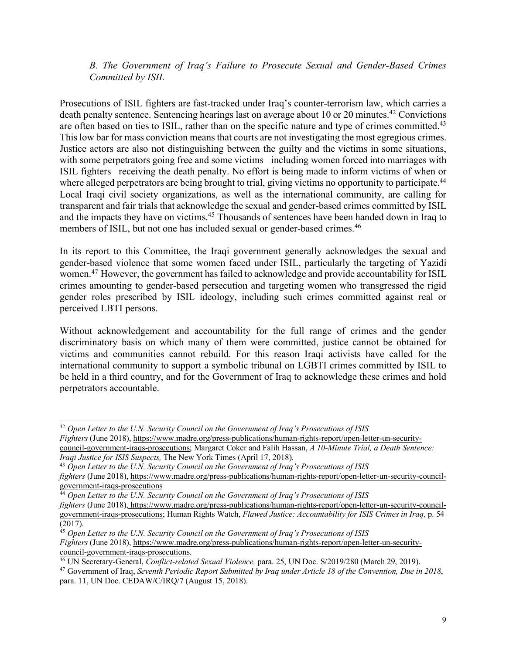*B. The Government of Iraq's Failure to Prosecute Sexual and Gender-Based Crimes Committed by ISIL*

Prosecutions of ISIL fighters are fast-tracked under Iraq's counter-terrorism law, which carries a death penalty sentence. Sentencing hearings last on average about 10 or 20 minutes.<sup>42</sup> Convictions are often based on ties to ISIL, rather than on the specific nature and type of crimes committed.<sup>43</sup> Thislow bar for mass conviction meansthat courts are not investigating the most egregious crimes. Justice actors are also not distinguishing between the guilty and the victims in some situations, with some perpetrators going free and some victims including women forced into marriages with ISIL fighters receiving the death penalty. No effort is being made to inform victims of when or where alleged perpetrators are being brought to trial, giving victims no opportunity to participate.<sup>44</sup> Local Iraqi civil society organizations, as well as the international community, are calling for transparent and fair trials that acknowledge the sexual and gender-based crimes committed by ISIL and the impacts they have on victims.<sup>45</sup> Thousands of sentences have been handed down in Iraq to members of ISIL, but not one has included sexual or gender-based crimes.<sup>46</sup>

In its report to this Committee, the Iraqi government generally acknowledges the sexual and gender-based violence that some women faced under ISIL, particularly the targeting of Yazidi women.<sup>47</sup> However, the government has failed to acknowledge and provide accountability for ISIL crimes amounting to gender-based persecution and targeting women who transgressed the rigid gender roles prescribed by ISIL ideology, including such crimes committed against real or perceived LBTI persons.

Without acknowledgement and accountability for the full range of crimes and the gender discriminatory basis on which many of them were committed, justice cannot be obtained for victims and communities cannot rebuild. For this reason Iraqi activists have called for the international community to support a symbolic tribunal on LGBTI crimes committed by ISIL to be held in a third country, and for the Government of Iraq to acknowledge these crimes and hold perpetrators accountable.

 <sup>42</sup> *Open Letter to the U.N. Security Council on the Government of Iraq's Prosecutions of ISIS Fighters* (June 2018), https://www.madre.org/press-publications/human-rights-report/open-letter-un-security-

council-government-iraqs-prosecutions; Margaret Coker and Falih Hassan, *A 10-Minute Trial, a Death Sentence: Iraqi Justice for ISIS Suspects,* The New York Times (April 17, 2018).

<sup>43</sup> *Open Letter to the U.N. Security Council on the Government of Iraq's Prosecutions of ISIS*

*fighters* (June 2018), https://www.madre.org/press-publications/human-rights-report/open-letter-un-security-councilgovernment-iraqs-prosecutions

<sup>44</sup> *Open Letter to the U.N. Security Council on the Government of Iraq's Prosecutions of ISIS*

*fighters* (June 2018), https://www.madre.org/press-publications/human-rights-report/open-letter-un-security-councilgovernment-iraqs-prosecutions; Human Rights Watch, *Flawed Justice: Accountability for ISIS Crimes in Iraq*, p. 54 (2017).

<sup>45</sup> *Open Letter to the U.N. Security Council on the Government of Iraq's Prosecutions of ISIS Fighters* (June 2018), https://www.madre.org/press-publications/human-rights-report/open-letter-un-securitycouncil-government-iraqs-prosecutions.

<sup>46</sup> UN Secretary-General, *Conflict-related Sexual Violence,* para. 25, UN Doc. S/2019/280 (March 29, 2019).

<sup>47</sup> Government of Iraq, *Seventh Periodic Report Submitted by Iraq under Article 18 of the Convention, Due in 2018*, para. 11, UN Doc. CEDAW/C/IRQ/7 (August 15, 2018).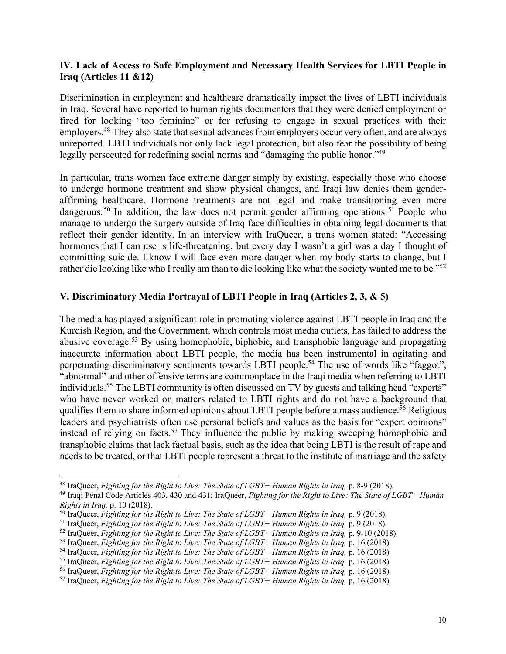#### **IV. Lack of Access to Safe Employment and Necessary Health Services for LBTI People in Iraq (Articles 11 &12)**

Discrimination in employment and healthcare dramatically impact the lives of LBTI individuals in Iraq. Several have reported to human rights documenters that they were denied employment or fired for looking "too feminine" or for refusing to engage in sexual practices with their employers.<sup>48</sup> They also state that sexual advances from employers occur very often, and are always unreported. LBTI individuals not only lack legal protection, but also fear the possibility of being legally persecuted for redefining social norms and "damaging the public honor."49

In particular, trans women face extreme danger simply by existing, especially those who choose to undergo hormone treatment and show physical changes, and Iraqi law denies them genderaffirming healthcare. Hormone treatments are not legal and make transitioning even more dangerous.<sup>50</sup> In addition, the law does not permit gender affirming operations.<sup>51</sup> People who manage to undergo the surgery outside of Iraq face difficulties in obtaining legal documents that reflect their gender identity. In an interview with IraQueer, a trans women stated: "Accessing hormones that I can use is life-threatening, but every day I wasn't a girl was a day I thought of committing suicide. I know I will face even more danger when my body starts to change, but I rather die looking like who I really am than to die looking like what the society wanted me to be."52

#### **V. Discriminatory Media Portrayal of LBTI People in Iraq (Articles 2, 3, & 5)**

The media has played a significant role in promoting violence against LBTI people in Iraq and the Kurdish Region, and the Government, which controls most media outlets, has failed to address the abusive coverage.53 By using homophobic, biphobic, and transphobic language and propagating inaccurate information about LBTI people, the media has been instrumental in agitating and perpetuating discriminatory sentiments towards LBTI people.54 The use of words like "faggot", "abnormal" and other offensive terms are commonplace in the Iraqi media when referring to LBTI individuals.<sup>55</sup> The LBTI community is often discussed on TV by guests and talking head "experts" who have never worked on matters related to LBTI rights and do not have a background that qualifies them to share informed opinions about LBTI people before a mass audience.<sup>56</sup> Religious leaders and psychiatrists often use personal beliefs and values as the basis for "expert opinions" instead of relying on facts.<sup>57</sup> They influence the public by making sweeping homophobic and transphobic claims that lack factual basis, such as the idea that being LBTI is the result of rape and needs to be treated, or that LBTI people represent a threat to the institute of marriage and the safety

 <sup>48</sup> IraQueer, *Fighting for the Right to Live: The State of LGBT+ Human Rights in Iraq,* p. 8-9 (2018).

<sup>49</sup> Iraqi Penal Code Articles 403, 430 and 431; IraQueer, *Fighting for the Right to Live: The State of LGBT+ Human Rights in Iraq,* p. 10 (2018).

<sup>50</sup> IraQueer, *Fighting for the Right to Live: The State of LGBT+ Human Rights in Iraq,* p. 9 (2018).

<sup>51</sup> IraQueer, *Fighting for the Right to Live: The State of LGBT+ Human Rights in Iraq,* p. 9 (2018).

<sup>52</sup> IraQueer, *Fighting for the Right to Live: The State of LGBT+ Human Rights in Iraq,* p. 9-10 (2018).

<sup>53</sup> IraQueer, *Fighting for the Right to Live: The State of LGBT+ Human Rights in Iraq,* p. 16 (2018).

<sup>54</sup> IraQueer, *Fighting for the Right to Live: The State of LGBT+ Human Rights in Iraq,* p. 16 (2018).

<sup>55</sup> IraQueer, *Fighting for the Right to Live: The State of LGBT+ Human Rights in Iraq,* p. 16 (2018).

<sup>56</sup> IraQueer, *Fighting for the Right to Live: The State of LGBT+ Human Rights in Iraq,* p. 16 (2018).

<sup>57</sup> IraQueer, *Fighting for the Right to Live: The State of LGBT+ Human Rights in Iraq,* p. 16 (2018).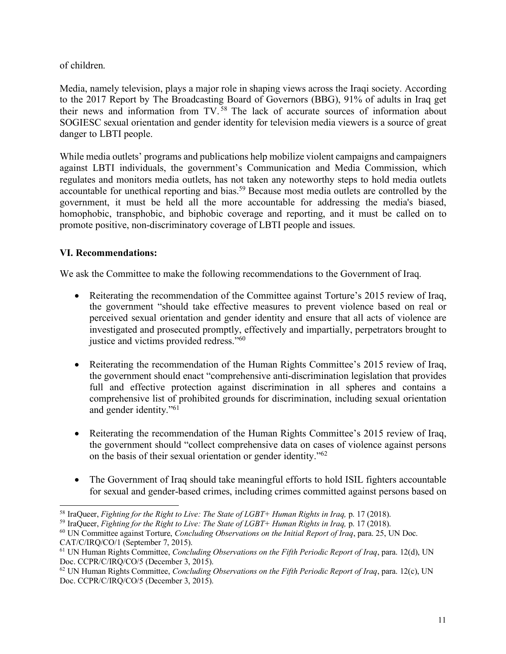## of children.

Media, namely television, plays a major role in shaping views across the Iraqi society. According to the 2017 Report by The Broadcasting Board of Governors (BBG), 91% of adults in Iraq get their news and information from TV. <sup>58</sup> The lack of accurate sources of information about SOGIESC sexual orientation and gender identity for television media viewers is a source of great danger to LBTI people.

While media outlets' programs and publications help mobilize violent campaigns and campaigners against LBTI individuals, the government's Communication and Media Commission, which regulates and monitors media outlets, has not taken any noteworthy steps to hold media outlets accountable for unethical reporting and bias.<sup>59</sup> Because most media outlets are controlled by the government, it must be held all the more accountable for addressing the media's biased, homophobic, transphobic, and biphobic coverage and reporting, and it must be called on to promote positive, non-discriminatory coverage of LBTI people and issues.

# **VI. Recommendations:**

We ask the Committee to make the following recommendations to the Government of Iraq.

- Reiterating the recommendation of the Committee against Torture's 2015 review of Iraq, the government "should take effective measures to prevent violence based on real or perceived sexual orientation and gender identity and ensure that all acts of violence are investigated and prosecuted promptly, effectively and impartially, perpetrators brought to justice and victims provided redress."60
- Reiterating the recommendation of the Human Rights Committee's 2015 review of Iraq, the government should enact "comprehensive anti-discrimination legislation that provides full and effective protection against discrimination in all spheres and contains a comprehensive list of prohibited grounds for discrimination, including sexual orientation and gender identity."61
- Reiterating the recommendation of the Human Rights Committee's 2015 review of Iraq, the government should "collect comprehensive data on cases of violence against persons on the basis of their sexual orientation or gender identity."62
- The Government of Iraq should take meaningful efforts to hold ISIL fighters accountable for sexual and gender-based crimes, including crimes committed against persons based on

 <sup>58</sup> IraQueer, *Fighting for the Right to Live: The State of LGBT+ Human Rights in Iraq,* p. <sup>17</sup> (2018).

<sup>59</sup> IraQueer, *Fighting for the Right to Live: The State of LGBT+ Human Rights in Iraq,* p. 17 (2018).

<sup>60</sup> UN Committee against Torture, *Concluding Observations on the Initial Report of Iraq*, para. 25, UN Doc. CAT/C/IRQ/CO/1 (September 7, 2015).

<sup>61</sup> UN Human Rights Committee, *Concluding Observations on the Fifth Periodic Report of Iraq*, para. 12(d), UN Doc. CCPR/C/IRQ/CO/5 (December 3, 2015).

<sup>62</sup> UN Human Rights Committee, *Concluding Observations on the Fifth Periodic Report of Iraq*, para. 12(c), UN Doc. CCPR/C/IRQ/CO/5 (December 3, 2015).